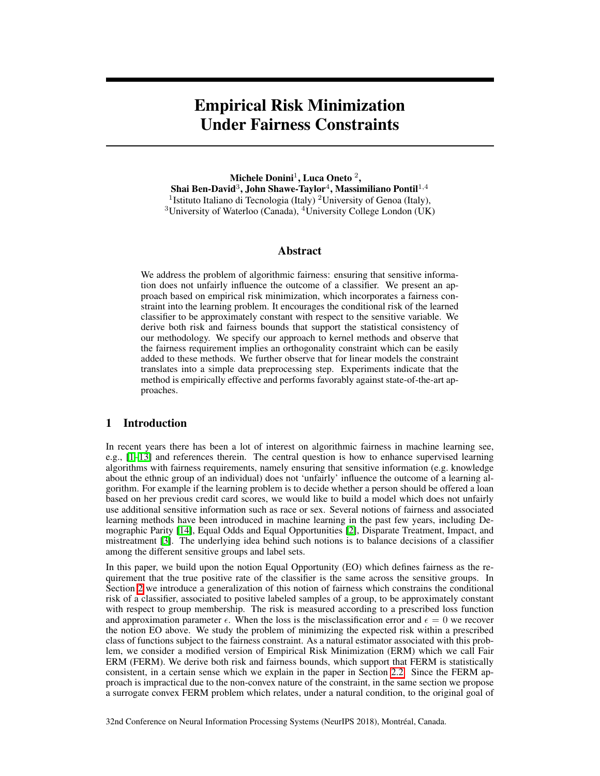# <span id="page-0-1"></span><span id="page-0-0"></span>Empirical Risk Minimization Under Fairness Constraints

Michele Donini<sup>1</sup>, Luca Oneto<sup>2</sup>, Shai Ben-David<sup>3</sup>, John Shawe-Taylor<sup>4</sup>, Massimiliano Pontil<sup>1,4</sup> <sup>1</sup>Istituto Italiano di Tecnologia (Italy) <sup>2</sup>University of Genoa (Italy), <sup>3</sup>University of Waterloo (Canada), <sup>4</sup>University College London (UK)

#### <span id="page-0-3"></span>Abstract

We address the problem of algorithmic fairness: ensuring that sensitive information does not unfairly influence the outcome of a classifier. We present an approach based on empirical risk minimization, which incorporates a fairness constraint into the learning problem. It encourages the conditional risk of the learned classifier to be approximately constant with respect to the sensitive variable. We derive both risk and fairness bounds that support the statistical consistency of our methodology. We specify our approach to kernel methods and observe that the fairness requirement implies an orthogonality constraint which can be easily added to these methods. We further observe that for linear models the constraint translates into a simple data preprocessing step. Experiments indicate that the method is empirically effective and performs favorably against state-of-the-art approaches.

#### 1 Introduction

<span id="page-0-2"></span>In recent years there has been a lot of interest on algorithmic fairness in machine learning see, e.g.,  $[1]$ - $[13]$  $[13]$  and references therein. The central question is how to enhance supervised learning algorithms with fairness requirements, namely ensuring that sensitive information (e.g. knowledge about the ethnic group of an individual) does not 'unfairly' influence the outcome of a learning algorithm. For example if the learning problem is to decide whether a person should be offered a loan based on her previous credit card scores, we would like to build a model which does not unfairly use additional sensitive information such as race or sex. Several notions of fairness and associated learning methods have been introduced in machine learning in the past few years, including De-mographic Parity [\[14\]](#page-9-2), Equal Odds and Equal Opportunities [\[2\]](#page-9-3), Disparate Treatment, Impact, and mistreatment  $\boxed{3}$ . The underlying idea behind such notions is to balance decisions of a classifier among the different sensitive groups and label sets.

In this paper, we build upon the notion Equal Opportunity (EO) which defines fairness as the requirement that the true positive rate of the classifier is the same across the sensitive groups. In Section  $\overline{2}$  we introduce a generalization of this notion of fairness which constrains the conditional risk of a classifier, associated to positive labeled samples of a group, to be approximately constant with respect to group membership. The risk is measured according to a prescribed loss function and approximation parameter  $\epsilon$ . When the loss is the misclassification error and  $\epsilon = 0$  we recover the notion EO above. We study the problem of minimizing the expected risk within a prescribed class of functions subject to the fairness constraint. As a natural estimator associated with this problem, we consider a modified version of Empirical Risk Minimization (ERM) which we call Fair ERM (FERM). We derive both risk and fairness bounds, which support that FERM is statistically consistent, in a certain sense which we explain in the paper in Section  $\overline{2.2}$ . Since the FERM approach is impractical due to the non-convex nature of the constraint, in the same section we propose a surrogate convex FERM problem which relates, under a natural condition, to the original goal of

32nd Conference on Neural Information Processing Systems (NeurIPS 2018), Montréal, Canada.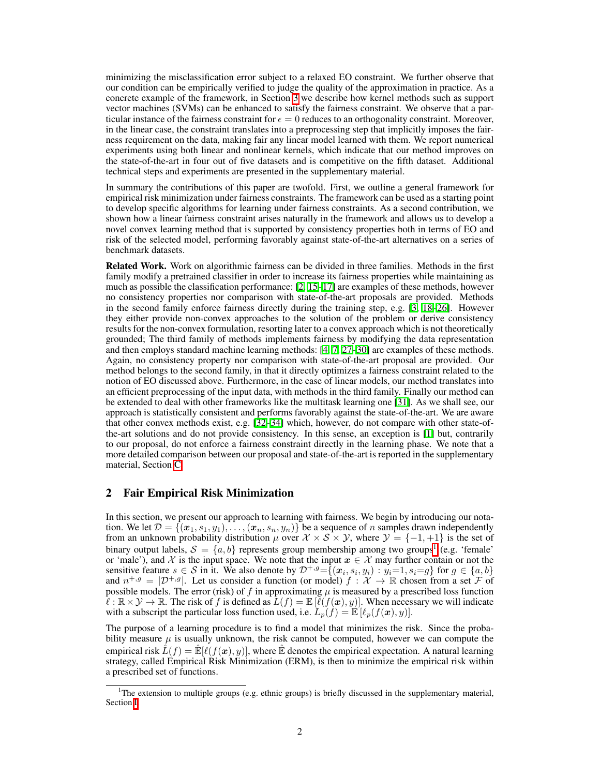minimizing the misclassification error subject to a relaxed EO constraint. We further observe that our condition can be empirically verified to judge the quality of the approximation in practice. As a concrete example of the framework, in Section  $\overline{3}$  we describe how kernel methods such as support vector machines (SVMs) can be enhanced to satisfy the fairness constraint. We observe that a particular instance of the fairness constraint for  $\epsilon = 0$  reduces to an orthogonality constraint. Moreover, in the linear case, the constraint translates into a preprocessing step that implicitly imposes the fairness requirement on the data, making fair any linear model learned with them. We report numerical experiments using both linear and nonlinear kernels, which indicate that our method improves on the state-of-the-art in four out of five datasets and is competitive on the fifth dataset. Additional technical steps and experiments are presented in the supplementary material.

In summary the contributions of this paper are twofold. First, we outline a general framework for empirical risk minimization under fairness constraints. The framework can be used as a starting point to develop specific algorithms for learning under fairness constraints. As a second contribution, we shown how a linear fairness constraint arises naturally in the framework and allows us to develop a novel convex learning method that is supported by consistency properties both in terms of EO and risk of the selected model, performing favorably against state-of-the-art alternatives on a series of benchmark datasets.

Related Work. Work on algorithmic fairness can be divided in three families. Methods in the first family modify a pretrained classifier in order to increase its fairness properties while maintaining as much as possible the classification performance:  $\sqrt{2\sqrt{15}}$  are examples of these methods, however no consistency properties nor comparison with state-of-the-art proposals are provided. Methods in the second family enforce fairness directly during the training step, e.g.  $[3]$   $[18]$  $[26]$ . However they either provide non-convex approaches to the solution of the problem or derive consistency results for the non-convex formulation, resorting later to a convex approach which is not theoretically grounded; The third family of methods implements fairness by modifying the data representation and then employs standard machine learning methods:  $[4, 7, 27]$  $[4, 7, 27]$  $[4, 7, 27]$  $[4, 7, 27]$ -30] are examples of these methods. Again, no consistency property nor comparison with state-of-the-art proposal are provided. Our method belongs to the second family, in that it directly optimizes a fairness constraint related to the notion of EO discussed above. Furthermore, in the case of linear models, our method translates into an efficient preprocessing of the input data, with methods in the third family. Finally our method can be extended to deal with other frameworks like the multitask learning one [\[31\]](#page-10-3). As we shall see, our approach is statistically consistent and performs favorably against the state-of-the-art. We are aware that other convex methods exist, e.g.  $\left[\frac{32}{34}\right]$  which, however, do not compare with other state-ofthe-art solutions and do not provide consistency. In this sense, an exception is  $\left[\prod_{n=1}^{\infty}$  but, contrarily to our proposal, do not enforce a fairness constraint directly in the learning phase. We note that a more detailed comparison between our proposal and state-of-the-art is reported in the supplementary material, Section C

## <span id="page-1-0"></span>2 Fair Empirical Risk Minimization

In this section, we present our approach to learning with fairness. We begin by introducing our notation. We let  $\mathcal{D} = \{(x_1, s_1, y_1), \ldots, (x_n, s_n, y_n)\}$  be a sequence of *n* samples drawn independently from an unknown probability distribution  $\mu$  over  $\mathcal{X} \times \mathcal{S} \times \mathcal{Y}$ , where  $\mathcal{Y} = \{-1, +1\}$  is the set of binary output labels,  $S = \{a, b\}$  represents group membership among two groups<sup>[[1](#page-1-1)]</sup> (e.g. 'female' or 'male'), and  $\chi$  is the input space. We note that the input  $x \in \chi$  may further contain or not the sensitive feature  $s \in S$  in it. We also denote by  $\mathcal{D}^{+,g} = \{(\mathbf{x}_i, s_i, y_i) : y_i = 1, s_i = g\}$  for  $g \in \{a, b\}$ and  $n^{+,g} = |\mathcal{D}^{+,g}|$ . Let us consider a function (or model)  $f : \mathcal{X} \to \mathbb{R}$  chosen from a set *F* of possible models. The error (risk) of  $f$  in approximating  $\mu$  is measured by a prescribed loss function  $\ell : \mathbb{R} \times \mathcal{Y} \to \mathbb{R}$ . The risk of f is defined as  $L(f) = \mathbb{E}[\ell(f(\boldsymbol{x}), y)]$ . When necessary we will indicate with a subscript the particular loss function used, i.e.  $L_p(f) = \mathbb{E} [\ell_p(f(\boldsymbol{x}), y)].$ 

The purpose of a learning procedure is to find a model that minimizes the risk. Since the probability measure  $\mu$  is usually unknown, the risk cannot be computed, however we can compute the empirical risk  $\hat{L}(f) = \hat{E}[\ell(f(\mathbf{x}), y)]$ , where  $\hat{E}$  denotes the empirical expectation. A natural learning strategy, called Empirical Risk Minimization (ERM), is then to minimize the empirical risk within a prescribed set of functions.

<span id="page-1-1"></span><sup>&</sup>lt;sup>1</sup>The extension to multiple groups (e.g. ethnic groups) is briefly discussed in the supplementary material, Section [I.](#page-0-0)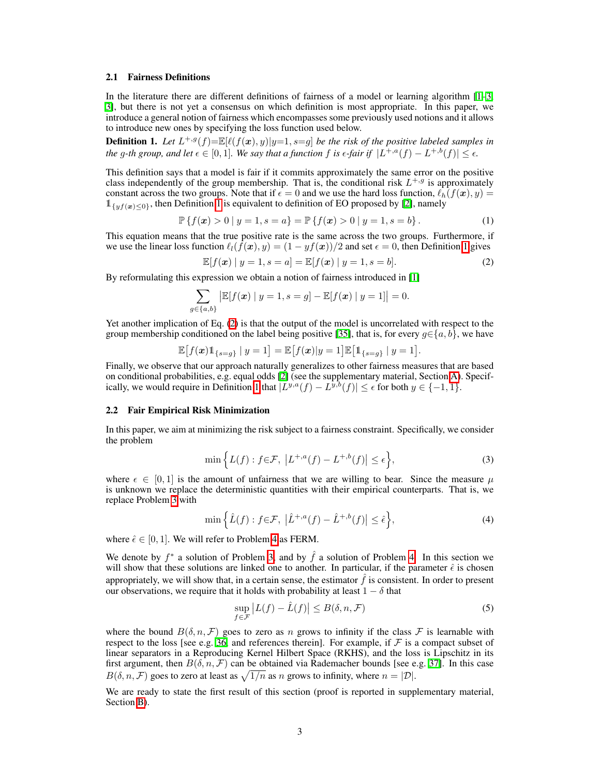#### 2.1 Fairness Definitions

In the literature there are different definitions of fairness of a model or learning algorithm  $[\Pi \cdot \mathbf{3}]$ , **3**, but there is not yet a consensus on which definition is most appropriate. In this paper, we introduce a general notion of fairness which encompasses some previously used notions and it allows to introduce new ones by specifying the loss function used below.

<span id="page-2-1"></span>**Definition 1.** Let  $L^{+,g}(f) = \mathbb{E}[\ell(f(\boldsymbol{x}), y)|y=1, s=g]$  be the risk of the positive labeled samples in *the g*-th group, and let  $\epsilon \in [0,1]$ . We say that a function f is  $\epsilon$ -fair if  $|L^{+,a}(f) - L^{+,b}(f)| \leq \epsilon$ .

This definition says that a model is fair if it commits approximately the same error on the positive class independently of the group membership. That is, the conditional risk  $L^{+,g}$  is approximately constant across the two groups. Note that if  $\epsilon = 0$  and we use the hard loss function,  $\ell_h(f(\mathbf{x}), y) =$  $\mathbb{1}_{\{y f(\bm{x}) \leq 0\}}$ , then Definition  $\overline{1}$  is equivalent to definition of EO proposed by  $\overline{2}$ , namely

$$
\mathbb{P}\left\{f(\boldsymbol{x}) > 0 \,|\, y = 1, s = a\right\} = \mathbb{P}\left\{f(\boldsymbol{x}) > 0 \,|\, y = 1, s = b\right\}.\tag{1}
$$

This equation means that the true positive rate is the same across the two groups. Furthermore, if we use the linear loss function  $\ell_l(f(\mathbf{x}), y) = (1 - yf(\mathbf{x}))/2$  and set  $\epsilon = 0$ , then Definition [1](#page-2-1) gives

<span id="page-2-5"></span><span id="page-2-2"></span>
$$
\mathbb{E}[f(\boldsymbol{x}) \mid y = 1, s = a] = \mathbb{E}[f(\boldsymbol{x}) \mid y = 1, s = b].
$$
\n(2)

By reformulating this expression we obtain a notion of fairness introduced in  $\boxed{1}$ 

$$
\sum_{g \in \{a,b\}} \left| \mathbb{E}[f(x) \mid y=1, s=g] - \mathbb{E}[f(x) \mid y=1] \right| = 0.
$$

Yet another implication of Eq.  $(2)$  is that the output of the model is uncorrelated with respect to the group membership conditioned on the label being positive [\[35\]](#page-10-6), that is, for every  $g \in \{a, b\}$ , we have

$$
\mathbb{E}[f(\bm{x})1_{\{s=g\}} \mid y=1] = \mathbb{E}[f(\bm{x})|y=1]\mathbb{E}[1_{\{s=g\}} \mid y=1].
$$

Finally, we observe that our approach naturally generalizes to other fairness measures that are based on conditional probabilities, e.g. equal odds  $[2]$  (see the supplementary material, Section  $[2]$ ). Specifically, we would require in Definition  $\frac{1}{\ln x}$  that  $|L^{y,a}(f) - L^{y,b}(f)| \leq \epsilon$  for both  $y \in \{-1, 1\}$  $y \in \{-1, 1\}$  $y \in \{-1, 1\}$ .

#### <span id="page-2-0"></span>2.2 Fair Empirical Risk Minimization

In this paper, we aim at minimizing the risk subject to a fairness constraint. Specifically, we consider the problem

<span id="page-2-3"></span>
$$
\min\left\{L(f):f\in\mathcal{F},\ \left|L^{+,a}(f)-L^{+,b}(f)\right|\leq\epsilon\right\},\tag{3}
$$

where  $\epsilon \in [0, 1]$  is the amount of unfairness that we are willing to bear. Since the measure  $\mu$ is unknown we replace the deterministic quantities with their empirical counterparts. That is, we replace Problem  $\overline{3}$  with

$$
\min\left\{\hat{L}(f) : f \in \mathcal{F}, \ \left|\hat{L}^{+,a}(f) - \hat{L}^{+,b}(f)\right| \le \hat{\epsilon}\right\},\tag{4}
$$

where  $\hat{\epsilon} \in [0, 1]$ . We will refer to Problem  $\vec{A}$  as FERM.

We denote by  $f^*$  a solution of Problem  $3$ , and by  $\hat{f}$  a solution of Problem  $4$ . In this section we will show that these solutions are linked one to another. In particular, if the parameter  $\hat{\epsilon}$  is chosen appropriately, we will show that, in a certain sense, the estimator  $\hat{f}$  is consistent. In order to present our observations, we require that it holds with probability at least  $1 - \delta$  that

<span id="page-2-4"></span>
$$
\sup_{f \in \mathcal{F}} |L(f) - \hat{L}(f)| \le B(\delta, n, \mathcal{F})
$$
\n(5)

where the bound  $B(\delta, n, \mathcal{F})$  goes to zero as *n* grows to infinity if the class  $\mathcal F$  is learnable with respect to the loss [see e.g.  $\overline{36}$ , and references therein]. For example, if *F* is a compact subset of linear separators in a Reproducing Kernel Hilbert Space (RKHS), and the loss is Lipschitz in its first argument, then  $B(\delta, n, \mathcal{F})$  can be obtained via Rademacher bounds [see e.g.  $\boxed{37}$ ]. In this case  $B(\delta, n, \mathcal{F})$  goes to zero at least as  $\sqrt{1/n}$  as *n* grows to infinity, where  $n = |\mathcal{D}|$ .

We are ready to state the first result of this section (proof is reported in supplementary material, Section **B**).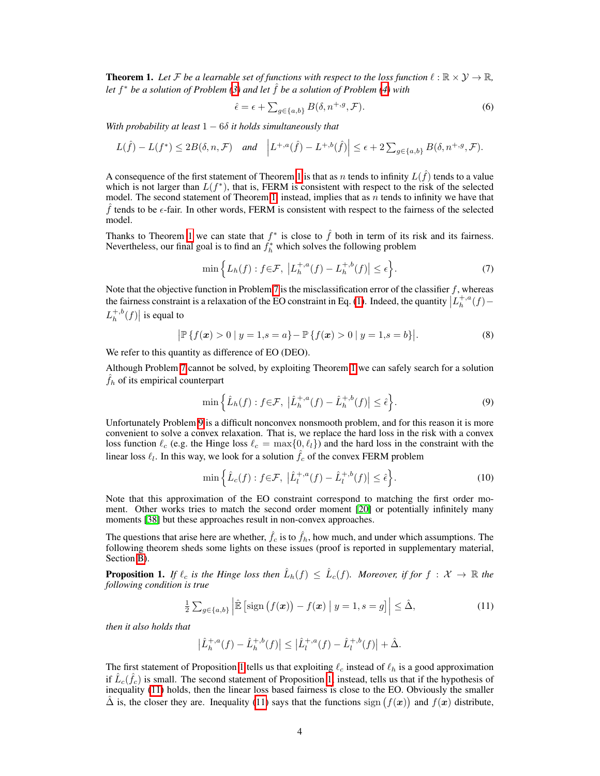<span id="page-3-0"></span>**Theorem 1.** Let F be a learnable set of functions with respect to the loss function  $\ell : \mathbb{R} \times \mathcal{Y} \to \mathbb{R}$ , *let*  $f^*$  *be a solution of Problem*  $\beta$ *)* and let  $\hat{f}$  *be a solution of Problem*  $\beta$ *)* with

$$
\hat{\epsilon} = \epsilon + \sum_{g \in \{a, b\}} B(\delta, n^{+, g}, \mathcal{F}). \tag{6}
$$

With probability at least  $1 - 6\delta$  it holds simultaneously that

$$
L(\hat{f}) - L(f^*) \le 2B(\delta, n, \mathcal{F}) \quad \text{and} \quad \left| L^{+,a}(\hat{f}) - L^{+,b}(\hat{f}) \right| \le \epsilon + 2 \sum_{g \in \{a,b\}} B(\delta, n^{+,g}, \mathcal{F}).
$$

A consequence of the first statement of Theorem  $\mathbf{1}$  is that as *n* tends to infinity  $L(\hat{f})$  tends to a value which is not larger than  $L(f^*)$ , that is, FERM is consistent with respect to the risk of the selected model. The second statement of Theorem  $\prod$ , instead, implies that as *n* tends to infinity we have that  $f$  tends to be  $\epsilon$ -fair. In other words, FERM is consistent with respect to the fairness of the selected model.

Thanks to Theorem  $\frac{1}{\sqrt{2}}$  we can state that  $f^*$  is close to  $\hat{f}$  both in term of its risk and its fairness. Nevertheless, our final goal is to find an  $f_h^*$  which solves the following problem

<span id="page-3-6"></span><span id="page-3-1"></span>
$$
\min\left\{L_h(f) : f \in \mathcal{F}, \ \left|L_h^{+,a}(f) - L_h^{+,b}(f)\right| \le \epsilon\right\}.
$$
\n(7)

Note that the objective function in Problem  $\overline{7}$  is the misclassification error of the classifier *f*, whereas the fairness constraint is a relaxation of the EO constraint in Eq. [\(1\)](#page-2-5). Indeed, the quantity  $\left| L_h^{+,a}(f) - L_h^{+,a}(f) \right|$  $L_h^{+,b}(f)$  is equal to

$$
\left| \mathbb{P}\left\{ f(\boldsymbol{x}) > 0 \mid y = 1, s = a \right\} - \mathbb{P}\left\{ f(\boldsymbol{x}) > 0 \mid y = 1, s = b \right\} \right|.
$$
 (8)

We refer to this quantity as difference of EO (DEO).

Although Problem  $\sqrt{7}$  cannot be solved, by exploiting Theorem  $\sqrt{1}$  we can safely search for a solution  $f_h$  of its empirical counterpart

<span id="page-3-2"></span>
$$
\min\left\{\hat{L}_h(f) : f \in \mathcal{F}, \ \left|\hat{L}_h^{+,a}(f) - \hat{L}_h^{+,b}(f)\right| \le \hat{\epsilon}\right\}.
$$
\n(9)

Unfortunately Problem  $\overline{9}$  is a difficult nonconvex nonsmooth problem, and for this reason it is more convenient to solve a convex relaxation. That is, we replace the hard loss in the risk with a convex loss function  $\ell_c$  (e.g. the Hinge loss  $\ell_c = \max\{0, \ell_l\}$ ) and the hard loss in the constraint with the linear loss  $\ell_l$ . In this way, we look for a solution  $\hat{f}_c$  of the convex FERM problem

<span id="page-3-5"></span>
$$
\min\left\{\hat{L}_c(f) : f \in \mathcal{F}, \ \left|\hat{L}_l^{+,a}(f) - \hat{L}_l^{+,b}(f)\right| \le \hat{\epsilon}\right\}.
$$
\n(10)

Note that this approximation of the EO constraint correspond to matching the first order moment. Other works tries to match the second order moment [\[20\]](#page-9-10) or potentially infinitely many moments **[\[38\]](#page-10-9)** but these approaches result in non-convex approaches.

The questions that arise here are whether,  $\hat{f}_c$  is to  $\hat{f}_h$ , how much, and under which assumptions. The following theorem sheds some lights on these issues (proof is reported in supplementary material, Section **B**).

<span id="page-3-3"></span>**Proposition 1.** If  $\ell_c$  is the Hinge loss then  $\hat{L}_h(f) \leq \hat{L}_c(f)$ . Moreover, if for  $f : \mathcal{X} \to \mathbb{R}$  the *following condition is true*

$$
\frac{1}{2}\sum_{g\in\{a,b\}}\left|\hat{\mathbb{E}}\left[\text{sign}\left(f(\boldsymbol{x})\right)-f(\boldsymbol{x})\,\big|\,y=1,s=g\right]\right|\leq\hat{\Delta},\tag{11}
$$

*then it also holds that*

<span id="page-3-4"></span>
$$
\left|\hat{L}_h^{+,a}(f) - \hat{L}_h^{+,b}(f)\right| \le \left|\hat{L}_l^{+,a}(f) - \hat{L}_l^{+,b}(f)\right| + \hat{\Delta}.
$$

The first statement of Proposition  $\prod$  tells us that exploiting  $\ell_c$  instead of  $\ell_h$  is a good approximation if  $\hat{L}_c(\hat{f}_c)$  is small. The second statement of Proposition  $\vert 1\vert$  instead, tells us that if the hypothesis of inequality  $(\overline{11})$  holds, then the linear loss based fairness is close to the EO. Obviously the smaller  $\hat{\Delta}$  is, the closer they are. Inequality  $\hat{11}$  says that the functions sign  $(f(x))$  and  $f(x)$  distribute,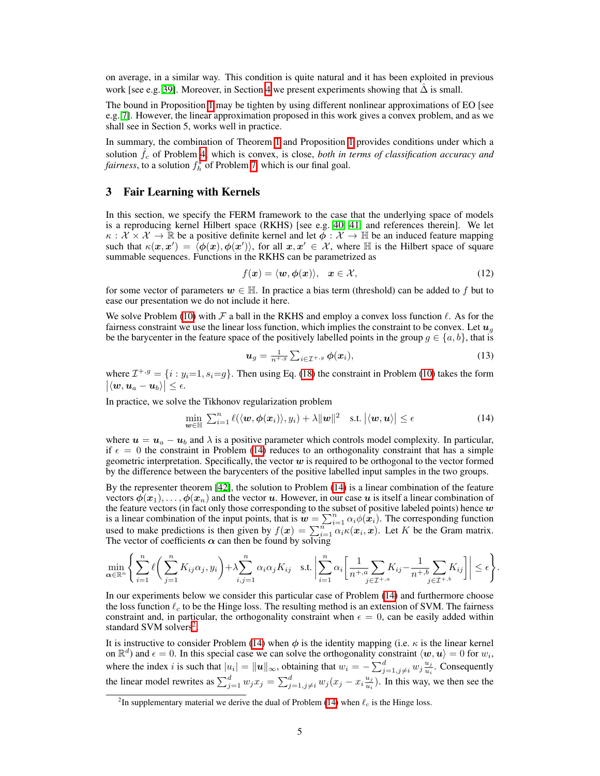on average, in a similar way. This condition is quite natural and it has been exploited in previous work [see e.g.  $\overline{39}$ ]. Moreover, in Section [4](#page-5-0) we present experiments showing that  $\hat{\Delta}$  is small.

The bound in Proposition  $\Pi$  may be tighten by using different nonlinear approximations of EO [see e.g.  $\boxed{7}$ . However, the linear approximation proposed in this work gives a convex problem, and as we shall see in Section 5, works well in practice.

In summary, the combination of Theorem  $\prod$  and Proposition  $\prod$  provides conditions under which a solution  $\hat{f}_c$  of Problem  $\frac{1}{4}$ , which is convex, is close, *both in terms of classification accuracy and fairness*, to a solution  $f_h^*$  of Problem  $\boxed{7}$ , which is our final goal.

## <span id="page-4-0"></span>3 Fair Learning with Kernels

In this section, we specify the FERM framework to the case that the underlying space of models is a reproducing kernel Hilbert space (RKHS) [see e.g.  $\overline{40}$ ,  $\overline{41}$ , and references therein]. We let  $\kappa : \mathcal{X} \times \mathcal{X} \to \mathbb{R}$  be a positive definite kernel and let  $\phi : \mathcal{X} \to \mathbb{H}$  be an induced feature mapping such that  $\kappa(x, x') = \langle \phi(x), \phi(x') \rangle$ , for all  $x, x' \in \mathcal{X}$ , where  $\mathbb{H}$  is the Hilbert space of square summable sequences. Functions in the RKHS can be parametrized as

$$
f(\boldsymbol{x}) = \langle \boldsymbol{w}, \boldsymbol{\phi}(\boldsymbol{x}) \rangle, \quad \boldsymbol{x} \in \mathcal{X}, \tag{12}
$$

for some vector of parameters  $w \in \mathbb{H}$ . In practice a bias term (threshold) can be added to f but to ease our presentation we do not include it here.

We solve Problem  $\overline{10}$  with *F* a ball in the RKHS and employ a convex loss function  $\ell$ . As for the fairness constraint we use the linear loss function, which implies the constraint to be convex. Let  $u_q$ be the barycenter in the feature space of the positively labelled points in the group  $g \in \{a, b\}$ , that is

<span id="page-4-1"></span>
$$
\boldsymbol{u}_g = \frac{1}{n^{+,g}} \sum_{i \in \mathcal{I}^{+,g}} \boldsymbol{\phi}(\boldsymbol{x}_i), \tag{13}
$$

where  $\mathcal{I}^{+,g} = \{i : y_i = 1, s_i = g\}$ . Then using Eq. [\(18\)](#page-0-3) the constraint in Problem [\(10\)](#page-3-5) takes the form  $\big|\langle \boldsymbol{w}, \boldsymbol{u}_a - \boldsymbol{u}_b \rangle\big| \leq \epsilon.$ 

In practice, we solve the Tikhonov regularization problem

$$
\min_{\boldsymbol{w}\in\mathbb{H}}\sum_{i=1}^{n}\ell(\langle\boldsymbol{w},\boldsymbol{\phi}(\boldsymbol{x}_{i})\rangle,y_{i})+\lambda\|\boldsymbol{w}\|^{2} \quad \text{s.t. } \left|\langle\boldsymbol{w},\boldsymbol{u}\rangle\right|\leq\epsilon
$$
\n(14)

where  $u = u_a - u_b$  and  $\lambda$  is a positive parameter which controls model complexity. In particular, if  $\epsilon = 0$  the constraint in Problem [\(14\)](#page-4-1) reduces to an orthogonality constraint that has a simple geometric interpretation. Specifically, the vector *w* is required to be orthogonal to the vector formed by the difference between the barycenters of the positive labelled input samples in the two groups.

By the representer theorem  $[42]$ , the solution to Problem  $[14]$  is a linear combination of the feature vectors  $\phi(x_1), \ldots, \phi(x_n)$  and the vector *u*. However, in our case *u* is itself a linear combination of the feature vectors (in fact only those corresponding to the subset of positive labeled points) hence *w* is a linear combination of the input points, that is  $w = \sum_{i=1}^{n} \alpha_i \phi(x_i)$ . The corresponding function used to make predictions is then given by  $f(x) = \sum_{i=1}^{n} \alpha_i \kappa(x_i, x)$ . Let *K* be the Gram matrix. The vector of coefficients  $\alpha$  can then be found by solving

$$
\min_{\alpha \in \mathbb{R}^n} \left\{ \sum_{i=1}^n \ell \left( \sum_{j=1}^n K_{ij} \alpha_j, y_i \right) + \lambda \sum_{i,j=1}^n \alpha_i \alpha_j K_{ij} \quad \text{s.t. } \left| \sum_{i=1}^n \alpha_i \left[ \frac{1}{n^+, a} \sum_{j \in \mathcal{I}^{+,a}} K_{ij} - \frac{1}{n^+, b} \sum_{j \in \mathcal{I}^{+,b}} K_{ij} \right] \right| \le \epsilon \right\}.
$$

In our experiments below we consider this particular case of Problem  $(\sqrt{14})$  and furthermore choose the loss function  $\ell_c$  to be the Hinge loss. The resulting method is an extension of SVM. The fairness constraint and, in particular, the orthogonality constraint when  $\epsilon = 0$ , can be easily added within standard SVM solvers<sup>2</sup>.

It is instructive to consider Problem  $\sqrt{14}$ ) when  $\phi$  is the identity mapping (i.e.  $\kappa$  is the linear kernel on  $\mathbb{R}^d$ ) and  $\epsilon = 0$ . In this special case we can solve the orthogonality constraint  $\langle w, u \rangle = 0$  for  $w_i$ , where the index *i* is such that  $|u_i| = ||u||_{\infty}$ , obtaining that  $w_i = -\sum_{j=1, j\neq i}^d w_j \frac{u_j}{u_i}$ . Consequently the linear model rewrites as  $\sum_{j=1}^{d} w_j x_j = \sum_{j=1, j\neq i}^{d} w_j (x_j - x_i \frac{u_j}{u_i})$ . In this way, we then see the

<span id="page-4-2"></span><sup>&</sup>lt;sup>2</sup>In supplementary material we derive the dual of Problem  $(14)$  when  $\ell_c$  is the Hinge loss.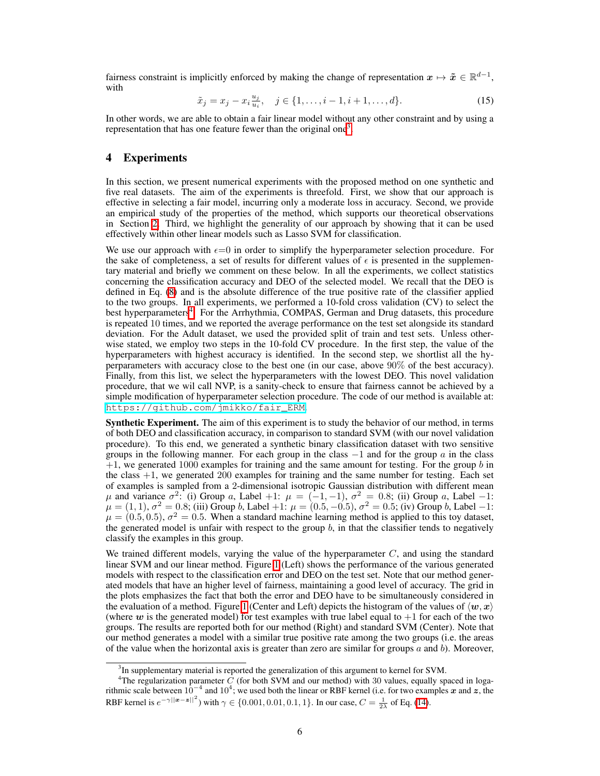<span id="page-5-3"></span>fairness constraint is implicitly enforced by making the change of representation  $x \mapsto \tilde{x} \in \mathbb{R}^{d-1}$ , with

$$
\tilde{x}_j = x_j - x_i \frac{u_j}{u_i}, \quad j \in \{1, \dots, i-1, i+1, \dots, d\}.
$$
 (15)

In other words, we are able to obtain a fair linear model without any other constraint and by using a representation that has one feature fewer than the original one<sup>3</sup>.

## <span id="page-5-0"></span>4 Experiments

In this section, we present numerical experiments with the proposed method on one synthetic and five real datasets. The aim of the experiments is threefold. First, we show that our approach is effective in selecting a fair model, incurring only a moderate loss in accuracy. Second, we provide an empirical study of the properties of the method, which supports our theoretical observations in Section  $\boxed{2}$ . Third, we highlight the generality of our approach by showing that it can be used effectively within other linear models such as Lasso SVM for classification.

We use our approach with  $\epsilon=0$  in order to simplify the hyperparameter selection procedure. For the sake of completeness, a set of results for different values of  $\epsilon$  is presented in the supplementary material and briefly we comment on these below. In all the experiments, we collect statistics concerning the classification accuracy and DEO of the selected model. We recall that the DEO is defined in Eq.  $\sqrt{8}$  and is the absolute difference of the true positive rate of the classifier applied to the two groups. In all experiments, we performed a 10-fold cross validation (CV) to select the best hyperparameters<sup>4</sup>. For the Arrhythmia, COMPAS, German and Drug datasets, this procedure is repeated 10 times, and we reported the average performance on the test set alongside its standard deviation. For the Adult dataset, we used the provided split of train and test sets. Unless otherwise stated, we employ two steps in the 10-fold CV procedure. In the first step, the value of the hyperparameters with highest accuracy is identified. In the second step, we shortlist all the hyperparameters with accuracy close to the best one (in our case, above 90% of the best accuracy). Finally, from this list, we select the hyperparameters with the lowest DEO. This novel validation procedure, that we wil call NVP, is a sanity-check to ensure that fairness cannot be achieved by a simple modification of hyperparameter selection procedure. The code of our method is available at: [https://github.com/jmikko/fair\\_ERM](https://github.com/jmikko/fair_ERM).

**Synthetic Experiment.** The aim of this experiment is to study the behavior of our method, in terms of both DEO and classification accuracy, in comparison to standard SVM (with our novel validation procedure). To this end, we generated a synthetic binary classification dataset with two sensitive groups in the following manner. For each group in the class  $-1$  and for the group  $\alpha$  in the class +1, we generated 1000 examples for training and the same amount for testing. For the group *b* in the class  $+1$ , we generated 200 examples for training and the same number for testing. Each set of examples is sampled from a 2-dimensional isotropic Gaussian distribution with different mean *µ* and variance  $\sigma^2$ : (i) Group *a*, Label +1:  $\mu = (-1, -1)$ ,  $\sigma^2 = 0.8$ ; (ii) Group *a*, Label -1:  $\mu = (1, 1), \sigma^2 = 0.8$ ; (iii) Group *b*, Label +1:  $\mu = (0.5, -0.5), \sigma^2 = 0.5$ ; (iv) Group *b*, Label -1:  $\mu = (0.5, 0.5), \sigma^2 = 0.5.$  When a standard machine learning method is applied to this toy dataset, the generated model is unfair with respect to the group  $b$ , in that the classifier tends to negatively classify the examples in this group.

We trained different models, varying the value of the hyperparameter *C*, and using the standard linear SVM and our linear method. Figure  $\Pi$  (Left) shows the performance of the various generated models with respect to the classification error and DEO on the test set. Note that our method generated models that have an higher level of fairness, maintaining a good level of accuracy. The grid in the plots emphasizes the fact that both the error and DEO have to be simultaneously considered in the evaluation of a method. Figure  $\prod$  (Center and Left) depicts the histogram of the values of  $\langle w, x \rangle$ (where  $w$  is the generated model) for test examples with true label equal to  $+1$  for each of the two groups. The results are reported both for our method (Right) and standard SVM (Center). Note that our method generates a model with a similar true positive rate among the two groups (i.e. the areas of the value when the horizontal axis is greater than zero are similar for groups *a* and *b*). Moreover,

<span id="page-5-2"></span><span id="page-5-1"></span> $3$ In supplementary material is reported the generalization of this argument to kernel for SVM.

<sup>4</sup> The regularization parameter *C* (for both SVM and our method) with 30 values, equally spaced in logarithmic scale between  $10^{-4}$  and  $10^{4}$ ; we used both the linear or RBF kernel (i.e. for two examples x and z, the RBF kernel is  $e^{-\gamma ||x - z||^2}$  with  $\gamma \in \{0.001, 0.01, 0.1, 1\}$ . In our case,  $C = \frac{1}{2\lambda}$  of Eq. [\(14\)](#page-4-1).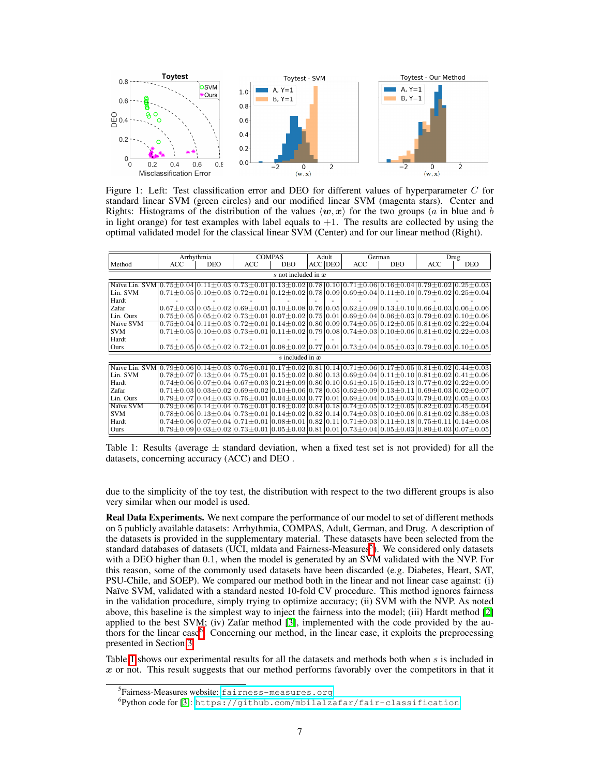

<span id="page-6-0"></span>Figure 1: Left: Test classification error and DEO for different values of hyperparameter *C* for standard linear SVM (green circles) and our modified linear SVM (magenta stars). Center and Rights: Histograms of the distribution of the values  $\langle w, x \rangle$  for the two groups (*a* in blue and *b* in light orange) for test examples with label equals to  $+1$ . The results are collected by using the optimal validated model for the classical linear SVM (Center) and for our linear method (Right).

|                                                                                                                                                                                                                                                                                                                           |     | Arrhythmia |     | <b>COMPAS</b>       | Adult          |                                                                                                                                                                                                                                                   | German     |     | Drug       |
|---------------------------------------------------------------------------------------------------------------------------------------------------------------------------------------------------------------------------------------------------------------------------------------------------------------------------|-----|------------|-----|---------------------|----------------|---------------------------------------------------------------------------------------------------------------------------------------------------------------------------------------------------------------------------------------------------|------------|-----|------------|
| Method                                                                                                                                                                                                                                                                                                                    | ACC | <b>DEO</b> | ACC | DEO.                | <b>ACC</b> DEO | <b>ACC</b>                                                                                                                                                                                                                                        | <b>DEO</b> | ACC | <b>DEO</b> |
| $s$ not included in $x$                                                                                                                                                                                                                                                                                                   |     |            |     |                     |                |                                                                                                                                                                                                                                                   |            |     |            |
| Naïve Lin. $SVM[0.75\pm0.04]0.11\pm0.03]0.73\pm0.01]0.13\pm0.02]0.78]0.10[0.71\pm0.06]0.16\pm0.04]0.79\pm0.02]0.25\pm0.03]$                                                                                                                                                                                               |     |            |     |                     |                |                                                                                                                                                                                                                                                   |            |     |            |
| Lin. SVM                                                                                                                                                                                                                                                                                                                  |     |            |     |                     |                | $[0.71 \pm 0.05]0.10 \pm 0.03]0.72 \pm 0.01]0.12 \pm 0.02]0.78]0.09]0.69 \pm 0.04]0.11 \pm 0.10]0.79 \pm 0.02]0.25 \pm 0.04]0.71 \pm 0.05]0.09 \pm 0.04]0.01 \pm 0.05]0.04$                                                                       |            |     |            |
| Hardt                                                                                                                                                                                                                                                                                                                     |     |            |     |                     |                |                                                                                                                                                                                                                                                   |            |     |            |
| Zafar                                                                                                                                                                                                                                                                                                                     |     |            |     |                     |                | $0.67\pm0.03$ $0.05\pm0.02$ $0.69\pm0.01$ $0.10\pm0.08$ $0.76$ $0.05$ $0.62\pm0.09$ $0.13\pm0.10$ $0.66\pm0.03$ $0.06\pm0.06$                                                                                                                     |            |     |            |
| Lin. Ours                                                                                                                                                                                                                                                                                                                 |     |            |     |                     |                | $0.75\pm0.05$ $0.05\pm0.02$ $0.73\pm0.01$ $0.07\pm0.02$ $0.75$ $0.01$ $0.69\pm0.04$ $0.06\pm0.03$ $0.79\pm0.02$ $0.10\pm0.06$                                                                                                                     |            |     |            |
| Naïve SVM                                                                                                                                                                                                                                                                                                                 |     |            |     |                     |                | $0.75\pm0.04$ $0.11\pm0.03$ $0.72\pm0.01$ $0.14\pm0.02$ $0.80$ $0.09$ $0.74\pm0.05$ $0.12\pm0.05$ $0.81\pm0.02$ $0.22\pm0.04$                                                                                                                     |            |     |            |
| <b>SVM</b>                                                                                                                                                                                                                                                                                                                |     |            |     |                     |                | $0.71\pm0.05 0.10\pm0.03 0.73\pm0.01 0.11\pm0.02 0.79 0.08 0.74\pm0.03 0.10\pm0.06 0.81\pm0.02 0.22\pm0.03 0.03\pm0.04 0.04\pm0.05 0.05\pm0.06 0.07\pm0.07 0.07\pm0.08 0.07\pm0.07 0.08\pm0.07 0.07\pm0.07 0.08\pm0.07 0.07\pm0.07 0.08\pm0.07 0$ |            |     |            |
| Hardt                                                                                                                                                                                                                                                                                                                     |     |            |     |                     |                |                                                                                                                                                                                                                                                   |            |     |            |
| Ours                                                                                                                                                                                                                                                                                                                      |     |            |     |                     |                | $0.75\pm0.05 0.05\pm0.02 0.72\pm0.01 0.08\pm0.02 0.77 0.01 0.73\pm0.04 0.05\pm0.03 0.79\pm0.03 0.10\pm0.05 $                                                                                                                                      |            |     |            |
|                                                                                                                                                                                                                                                                                                                           |     |            |     | $s$ included in $x$ |                |                                                                                                                                                                                                                                                   |            |     |            |
| Naïve Lin. SVM $\vert 0.79 \pm 0.06 \vert 0.14 \pm 0.03 \vert 0.76 \pm 0.01 \vert 0.17 \pm 0.02 \vert 0.81 \vert 0.14 \vert 0.71 \pm 0.06 \vert 0.17 \pm 0.05 \vert 0.81 \pm 0.02 \vert 0.44 \pm 0.03 \vert 0.04 \pm 0.02 \vert 0.04 \pm 0.03 \vert 0.04 \pm 0.03 \vert 0.04 \pm 0.03 \vert 0.04 \pm 0.03 \vert 0.04 \pm$ |     |            |     |                     |                |                                                                                                                                                                                                                                                   |            |     |            |
| Lin. SVM                                                                                                                                                                                                                                                                                                                  |     |            |     |                     |                | $0.78\pm0.07$ $0.13\pm0.04$ $0.75\pm0.01$ $0.15\pm0.02$ $0.80$ $0.13$ $0.69\pm0.04$ $0.11\pm0.10$ $0.81\pm0.02$ $0.41\pm0.06$                                                                                                                     |            |     |            |
| Hardt                                                                                                                                                                                                                                                                                                                     |     |            |     |                     |                | $0.74\pm0.06 0.07\pm0.04 0.67\pm0.03 0.21\pm0.09 0.80 0.10 0.61\pm0.15 0.15\pm0.13 0.77\pm0.02 0.22\pm0.09 0.02 0.03 0.04 0.05\pm0.09 0.06 0.07\pm0.04 0.07\pm0.03 0.07\pm0.09 0.08 0.07\pm0.04 0.07\pm0.04 0.07\pm0.09 0.08 0.07\pm0.04 0.07$    |            |     |            |
| Zafar                                                                                                                                                                                                                                                                                                                     |     |            |     |                     |                | $0.71\pm0.03$ $0.03\pm0.02$ $0.69\pm0.02$ $0.10\pm0.06$ $0.78$ $0.05$ $0.62\pm0.09$ $0.13\pm0.11$ $0.69\pm0.03$ $0.02\pm0.07$                                                                                                                     |            |     |            |
| Lin. Ours                                                                                                                                                                                                                                                                                                                 |     |            |     |                     |                | $0.79\pm0.07$  0.04 $\pm0.03$  0.76 $\pm0.01$  0.04 $\pm0.03$  0.77 0.01 0.69 $\pm0.04$  0.05 $\pm0.03$  0.79 $\pm0.02$  0.05 $\pm0.03$                                                                                                           |            |     |            |
| Naïve SVM                                                                                                                                                                                                                                                                                                                 |     |            |     |                     |                | $0.79\pm0.06$ $0.14\pm0.04$ $0.76\pm0.01$ $0.18\pm0.02$ $0.84$ $0.18$ $0.74\pm0.05$ $0.12\pm0.05$ $0.82\pm0.02$ $0.45\pm0.04$                                                                                                                     |            |     |            |
| <b>SVM</b>                                                                                                                                                                                                                                                                                                                |     |            |     |                     |                | $0.78\pm0.06 0.13\pm0.04 0.73\pm0.01 0.14\pm0.02 0.82 0.14 0.74\pm0.03 0.10\pm0.06 0.81\pm0.02 0.38\pm0.03 $                                                                                                                                      |            |     |            |
| Hardt                                                                                                                                                                                                                                                                                                                     |     |            |     |                     |                | $0.74\pm0.06 0.07\pm0.04 0.71\pm0.01 0.08\pm0.01 0.82 0.11 0.71\pm0.03 0.11\pm0.18 0.75\pm0.11 0.14\pm0.08 0.07\pm0.04 0.08\pm0.01 0.08\pm0.01 0.07\pm0.04 0.08\pm0.01 0.07\pm0.04 0.07\pm0.04 0.08\pm0.04 0.07\pm0.04 0.07\pm0.04 0.08\pm0.04 0$ |            |     |            |
| Ours                                                                                                                                                                                                                                                                                                                      |     |            |     |                     |                | $0.79\pm0.09 0.03\pm0.02 0.73\pm0.01 0.05\pm0.03 0.81 0.01 0.73\pm0.04 0.05\pm0.03 0.80\pm0.03 0.07\pm0.05 $                                                                                                                                      |            |     |            |

<span id="page-6-3"></span>Table 1: Results (average  $\pm$  standard deviation, when a fixed test set is not provided) for all the datasets, concerning accuracy (ACC) and DEO .

due to the simplicity of the toy test, the distribution with respect to the two different groups is also very similar when our model is used.

Real Data Experiments. We next compare the performance of our model to set of different methods on 5 publicly available datasets: Arrhythmia, COMPAS, Adult, German, and Drug. A description of the datasets is provided in the supplementary material. These datasets have been selected from the standard databases of datasets (UCI, midata and Fairness-Measures $\frac{5}{9}$ ). We considered only datasets with a DEO higher than  $0.1$ , when the model is generated by an  $S\overline{VM}$  validated with the NVP. For this reason, some of the commonly used datasets have been discarded (e.g. Diabetes, Heart, SAT, PSU-Chile, and SOEP). We compared our method both in the linear and not linear case against: (i) Naïve SVM, validated with a standard nested 10-fold CV procedure. This method ignores fairness in the validation procedure, simply trying to optimize accuracy; (ii) SVM with the NVP. As noted above, this baseline is the simplest way to inject the fairness into the model; (iii) Hardt method  $[2]$ applied to the best SVM; (iv) Zafar method  $\mathbf{3}$ , implemented with the code provided by the authors for the linear case<sup>6</sup>. Concerning our method, in the linear case, it exploits the preprocessing presented in Section [3.](#page-4-0)

Table **1** shows our experimental results for all the datasets and methods both when *s* is included in x or not. This result suggests that our method performs favorably over the competitors in that it

<span id="page-6-1"></span><sup>5</sup> Fairness-Measures website: <fairness-measures.org>

<span id="page-6-2"></span><sup>&</sup>lt;sup>6</sup>Python code for [\[3\]](#page-9-4): <https://github.com/mbilalzafar/fair-classification>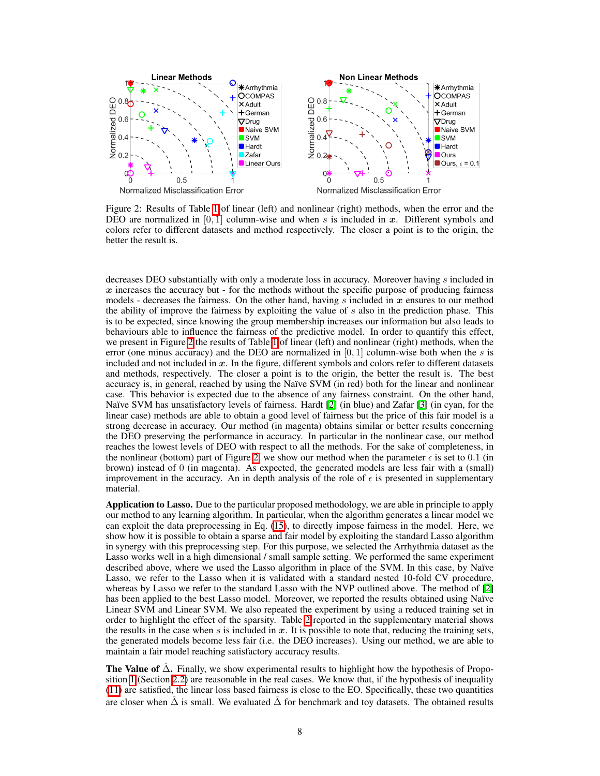

<span id="page-7-0"></span>Figure 2: Results of Table  $\prod$  of linear (left) and nonlinear (right) methods, when the error and the DEO are normalized in  $[0, 1]$  column-wise and when *s* is included in *x*. Different symbols and colors refer to different datasets and method respectively. The closer a point is to the origin, the better the result is.

decreases DEO substantially with only a moderate loss in accuracy. Moreover having *s* included in  $x$  increases the accuracy but - for the methods without the specific purpose of producing fairness models - decreases the fairness. On the other hand, having *s* included in *x* ensures to our method the ability of improve the fairness by exploiting the value of *s* also in the prediction phase. This is to be expected, since knowing the group membership increases our information but also leads to behaviours able to influence the fairness of the predictive model. In order to quantify this effect, we present in Figure  $\sqrt{2}$  the results of Table  $\sqrt{1}$  of linear (left) and nonlinear (right) methods, when the error (one minus accuracy) and the DEO are normalized in [0*,* 1] column-wise both when the *s* is included and not included in *x*. In the figure, different symbols and colors refer to different datasets and methods, respectively. The closer a point is to the origin, the better the result is. The best accuracy is, in general, reached by using the Naïve SVM (in red) both for the linear and nonlinear case. This behavior is expected due to the absence of any fairness constraint. On the other hand, Naïve SVM has unsatisfactory levels of fairness. Hardt  $[2]$  (in blue) and Zafar  $[3]$  (in cyan, for the linear case) methods are able to obtain a good level of fairness but the price of this fair model is a strong decrease in accuracy. Our method (in magenta) obtains similar or better results concerning the DEO preserving the performance in accuracy. In particular in the nonlinear case, our method reaches the lowest levels of DEO with respect to all the methods. For the sake of completeness, in the nonlinear (bottom) part of Figure  $\overline{2}$ , we show our method when the parameter  $\epsilon$  is set to 0.1 (in brown) instead of 0 (in magenta). As expected, the generated models are less fair with a (small) improvement in the accuracy. An in depth analysis of the role of  $\epsilon$  is presented in supplementary material.

Application to Lasso. Due to the particular proposed methodology, we are able in principle to apply our method to any learning algorithm. In particular, when the algorithm generates a linear model we can exploit the data preprocessing in Eq.  $(15)$ , to directly impose fairness in the model. Here, we show how it is possible to obtain a sparse and fair model by exploiting the standard Lasso algorithm in synergy with this preprocessing step. For this purpose, we selected the Arrhythmia dataset as the Lasso works well in a high dimensional / small sample setting. We performed the same experiment described above, where we used the Lasso algorithm in place of the SVM. In this case, by Naïve Lasso, we refer to the Lasso when it is validated with a standard nested 10-fold CV procedure, whereas by Lasso we refer to the standard Lasso with the NVP outlined above. The method of  $[2]$ has been applied to the best Lasso model. Moreover, we reported the results obtained using Naïve Linear SVM and Linear SVM. We also repeated the experiment by using a reduced training set in order to highlight the effect of the sparsity. Table  $\sqrt{2}$  reported in the supplementary material shows the results in the case when  $s$  is included in  $x$ . It is possible to note that, reducing the training sets, the generated models become less fair (i.e. the DEO increases). Using our method, we are able to maintain a fair model reaching satisfactory accuracy results.

**The Value of**  $\hat{\Delta}$ . Finally, we show experimental results to highlight how the hypothesis of Proposition  $\prod$  (Section [2.2\)](#page-2-0) are reasonable in the real cases. We know that, if the hypothesis of inequality  $\Pi$ ) are satisfied, the linear loss based fairness is close to the EO. Specifically, these two quantities are closer when  $\hat{\Delta}$  is small. We evaluated  $\hat{\Delta}$  for benchmark and toy datasets. The obtained results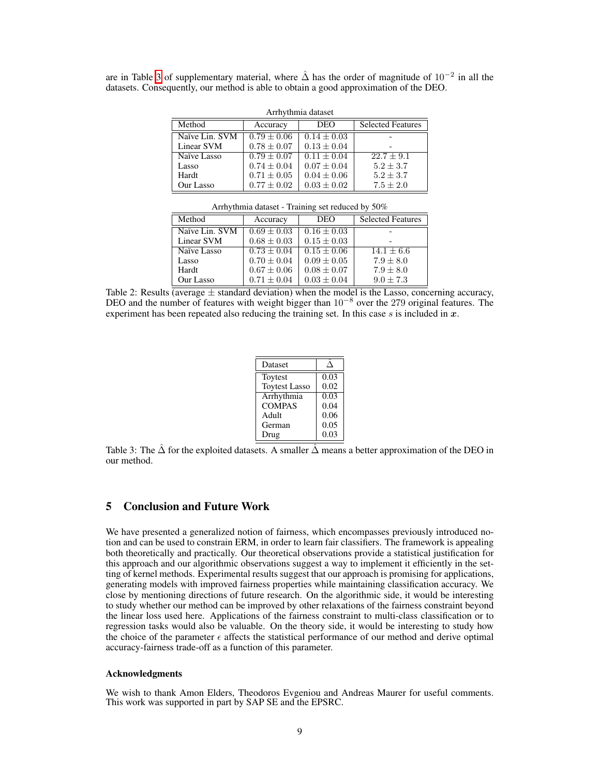are in Table [3](#page-8-1) of supplementary material, where  $\hat{\Delta}$  has the order of magnitude of  $10^{-2}$  in all the datasets. Consequently, our method is able to obtain a good approximation of the DEO.

| Arrhythmia dataset |                 |                 |                          |  |  |  |
|--------------------|-----------------|-----------------|--------------------------|--|--|--|
| Method             | Accuracy        | <b>DEO</b>      | <b>Selected Features</b> |  |  |  |
| Naïve Lin. SVM     | $0.79 + 0.06$   | $0.14 \pm 0.03$ |                          |  |  |  |
| Linear SVM         | $0.78 \pm 0.07$ | $0.13 \pm 0.04$ |                          |  |  |  |
| Naïve Lasso        | $0.79 + 0.07$   | $0.11 + 0.04$   | $22.7 + 9.1$             |  |  |  |
| Lasso              | $0.74 \pm 0.04$ | $0.07 \pm 0.04$ | $5.2 + 3.7$              |  |  |  |
| Hardt              | $0.71 \pm 0.05$ | $0.04 \pm 0.06$ | $5.2 + 3.7$              |  |  |  |
| Our Lasso          | $0.77 \pm 0.02$ | $0.03 \pm 0.02$ | $7.5 \pm 2.0$            |  |  |  |

Arrhythmia dataset - Training set reduced by 50%

| Accuracy        | <b>DEO</b>      | <b>Selected Features</b> |  |
|-----------------|-----------------|--------------------------|--|
| $0.69 + 0.03$   | $0.16 \pm 0.03$ |                          |  |
| $0.68 \pm 0.03$ | $0.15 \pm 0.03$ |                          |  |
| $0.73 + 0.04$   | $0.15 + 0.06$   | $14.1 + 6.6$             |  |
| $0.70 \pm 0.04$ |                 | $7.9 + 8.0$              |  |
| $0.67 \pm 0.06$ | $0.08 \pm 0.07$ | $7.9 + 8.0$              |  |
| $0.71 \pm 0.04$ | $0.03 \pm 0.04$ | $9.0 + 7.3$              |  |
|                 |                 | $0.09 \pm 0.05$          |  |

<span id="page-8-0"></span>Table 2: Results (average  $\pm$  standard deviation) when the model is the Lasso, concerning accuracy, DEO and the number of features with weight bigger than  $10^{-8}$  over the 279 original features. The experiment has been repeated also reducing the training set. In this case *s* is included in *x*.

| Dataset              |      |
|----------------------|------|
| Toytest              | 0.03 |
| <b>Toytest Lasso</b> | 0.02 |
| Arrhythmia           | 0.03 |
| <b>COMPAS</b>        | 0.04 |
| Adult                | 0.06 |
| German               | 0.05 |
| Drug                 | 0.03 |

<span id="page-8-1"></span>Table 3: The  $\hat{\Delta}$  for the exploited datasets. A smaller  $\hat{\Delta}$  means a better approximation of the DEO in our method.

# 5 Conclusion and Future Work

We have presented a generalized notion of fairness, which encompasses previously introduced notion and can be used to constrain ERM, in order to learn fair classifiers. The framework is appealing both theoretically and practically. Our theoretical observations provide a statistical justification for this approach and our algorithmic observations suggest a way to implement it efficiently in the setting of kernel methods. Experimental results suggest that our approach is promising for applications, generating models with improved fairness properties while maintaining classification accuracy. We close by mentioning directions of future research. On the algorithmic side, it would be interesting to study whether our method can be improved by other relaxations of the fairness constraint beyond the linear loss used here. Applications of the fairness constraint to multi-class classification or to regression tasks would also be valuable. On the theory side, it would be interesting to study how the choice of the parameter  $\epsilon$  affects the statistical performance of our method and derive optimal accuracy-fairness trade-off as a function of this parameter.

# Acknowledgments

We wish to thank Amon Elders, Theodoros Evgeniou and Andreas Maurer for useful comments. This work was supported in part by SAP SE and the EPSRC.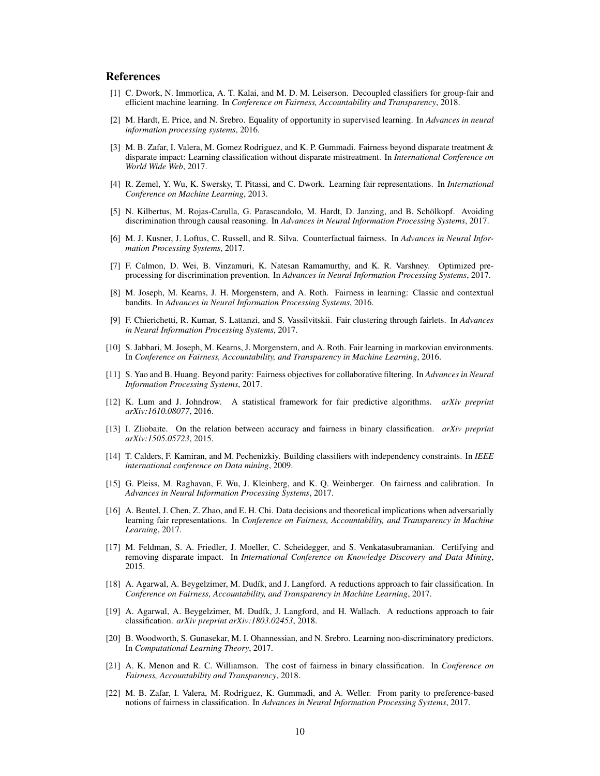#### References

- <span id="page-9-0"></span>[1] C. Dwork, N. Immorlica, A. T. Kalai, and M. D. M. Leiserson. Decoupled classifiers for group-fair and efficient machine learning. In *Conference on Fairness, Accountability and Transparency*, 2018.
- <span id="page-9-3"></span>[2] M. Hardt, E. Price, and N. Srebro. Equality of opportunity in supervised learning. In *Advances in neural information processing systems*, 2016.
- <span id="page-9-4"></span>[3] M. B. Zafar, I. Valera, M. Gomez Rodriguez, and K. P. Gummadi. Fairness beyond disparate treatment & disparate impact: Learning classification without disparate mistreatment. In *International Conference on World Wide Web*, 2017.
- <span id="page-9-8"></span>[4] R. Zemel, Y. Wu, K. Swersky, T. Pitassi, and C. Dwork. Learning fair representations. In *International Conference on Machine Learning*, 2013.
- [5] N. Kilbertus, M. Rojas-Carulla, G. Parascandolo, M. Hardt, D. Janzing, and B. Schölkopf. Avoiding discrimination through causal reasoning. In *Advances in Neural Information Processing Systems*, 2017.
- [6] M. J. Kusner, J. Loftus, C. Russell, and R. Silva. Counterfactual fairness. In *Advances in Neural Information Processing Systems*, 2017.
- <span id="page-9-9"></span>[7] F. Calmon, D. Wei, B. Vinzamuri, K. Natesan Ramamurthy, and K. R. Varshney. Optimized preprocessing for discrimination prevention. In *Advances in Neural Information Processing Systems*, 2017.
- [8] M. Joseph, M. Kearns, J. H. Morgenstern, and A. Roth. Fairness in learning: Classic and contextual bandits. In *Advances in Neural Information Processing Systems*, 2016.
- [9] F. Chierichetti, R. Kumar, S. Lattanzi, and S. Vassilvitskii. Fair clustering through fairlets. In *Advances in Neural Information Processing Systems*, 2017.
- [10] S. Jabbari, M. Joseph, M. Kearns, J. Morgenstern, and A. Roth. Fair learning in markovian environments. In *Conference on Fairness, Accountability, and Transparency in Machine Learning*, 2016.
- [11] S. Yao and B. Huang. Beyond parity: Fairness objectives for collaborative filtering. In *Advances in Neural Information Processing Systems*, 2017.
- [12] K. Lum and J. Johndrow. A statistical framework for fair predictive algorithms. *arXiv preprint arXiv:1610.08077*, 2016.
- <span id="page-9-1"></span>[13] I. Zliobaite. On the relation between accuracy and fairness in binary classification. *arXiv preprint arXiv:1505.05723*, 2015.
- <span id="page-9-2"></span>[14] T. Calders, F. Kamiran, and M. Pechenizkiy. Building classifiers with independency constraints. In *IEEE international conference on Data mining*, 2009.
- <span id="page-9-5"></span>[15] G. Pleiss, M. Raghavan, F. Wu, J. Kleinberg, and K. Q. Weinberger. On fairness and calibration. In *Advances in Neural Information Processing Systems*, 2017.
- [16] A. Beutel, J. Chen, Z. Zhao, and E. H. Chi. Data decisions and theoretical implications when adversarially learning fair representations. In *Conference on Fairness, Accountability, and Transparency in Machine Learning*, 2017.
- <span id="page-9-6"></span>[17] M. Feldman, S. A. Friedler, J. Moeller, C. Scheidegger, and S. Venkatasubramanian. Certifying and removing disparate impact. In *International Conference on Knowledge Discovery and Data Mining*, 2015.
- <span id="page-9-7"></span>[18] A. Agarwal, A. Beygelzimer, M. Dudík, and J. Langford. A reductions approach to fair classification. In *Conference on Fairness, Accountability, and Transparency in Machine Learning*, 2017.
- [19] A. Agarwal, A. Beygelzimer, M. Dudík, J. Langford, and H. Wallach. A reductions approach to fair classification. *arXiv preprint arXiv:1803.02453*, 2018.
- <span id="page-9-10"></span>[20] B. Woodworth, S. Gunasekar, M. I. Ohannessian, and N. Srebro. Learning non-discriminatory predictors. In *Computational Learning Theory*, 2017.
- [21] A. K. Menon and R. C. Williamson. The cost of fairness in binary classification. In *Conference on Fairness, Accountability and Transparency*, 2018.
- [22] M. B. Zafar, I. Valera, M. Rodriguez, K. Gummadi, and A. Weller. From parity to preference-based notions of fairness in classification. In *Advances in Neural Information Processing Systems*, 2017.